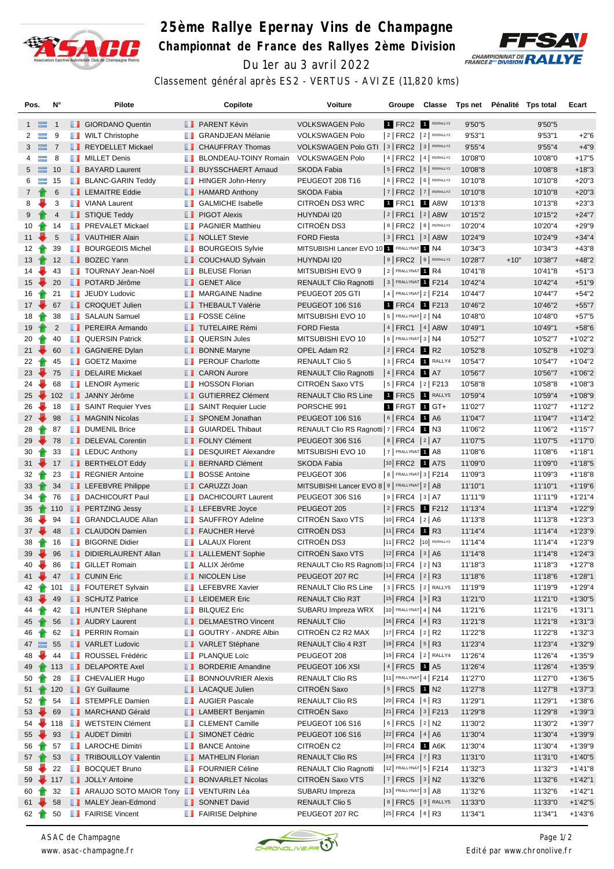

## **25ème Rallye Epernay Vins de Champagne Championnat de France des Rallyes 2ème Division** Du 1er au 3 avril 2022



Classement général après ES2 - VERTUS - AVIZE (11,820 kms)

| Pos.                       | N°            |               | Pilote                                |               | Copilote                     | Voiture                                        | Groupe                | Classe                                                       | Tps net |        | Pénalité Tps total | Ecart      |
|----------------------------|---------------|---------------|---------------------------------------|---------------|------------------------------|------------------------------------------------|-----------------------|--------------------------------------------------------------|---------|--------|--------------------|------------|
| $1 \equiv$                 | -1            |               | <b>B</b> GIORDANO Quentin             |               | <b>FRARENT Kévin</b>         | <b>VOLKSWAGEN Polo</b>                         |                       | 1 FRC2 1 R5/RALLY2                                           | 9'50"5  |        | 9'50"5             |            |
| 2<br>≡                     | 9             |               | <b>NULT Christophe</b>                |               | <b>B</b> GRANDJEAN Mélanie   | <b>VOLKSWAGEN Polo</b>                         |                       | $2$ FRC2 $2$ R5/RALLY2                                       | 9'53''1 |        | 9'53''1            | $+2"6$     |
| 3                          | $\equiv$ 7    |               | REYDELLET Mickael                     |               | <b>CHAUFFRAY Thomas</b>      | VOLKSWAGEN Polo GTI   3   FRC2   3   R5/RALLY2 |                       |                                                              | 9'55"4  |        | 9'55''4            | $+4"9$     |
| $\equiv$<br>4              | 8             |               | <b>NILLET</b> Denis                   |               | <b>BLONDEAU-TOINY Romain</b> | <b>VOLKSWAGEN Polo</b>                         |                       | $ 4 $ FRC2 $ 4 $ R5/RALLY2                                   | 10'08"0 |        | 10'08"0            | $+17"5$    |
| 5 <sub>5</sub><br>$\equiv$ | 10            |               | <b>BAYARD Laurent</b>                 |               | <b>BUYSSCHAERT Arnaud</b>    | <b>SKODA Fabia</b>                             |                       | $ 5 $ FRC2 $ 5 $ R5/RALLY2                                   | 10'08"8 |        | 10'08"8            | $+18"3$    |
| 6<br>$\equiv$              | 15            |               | <b>BLANC-GARIN Teddy</b>              |               | <b>HINGER John-Henry</b>     | PEUGEOT 208 T16                                |                       | 6   FRC2   6   R5/RALLY2                                     | 10'10"8 |        | 10'10"8            | $+20"3$    |
| $7\phantom{.}$             | 6             |               | <b>EXEMPLEMAITRE Eddie</b>            |               | <b>B</b> HAMARD Anthony      | <b>SKODA Fabia</b>                             |                       | $ 7 $ FRC2 $ 7 $ R5/RALLY2                                   | 10'10"8 |        | 10'10"8            | $+20"3$    |
| 8                          | 3             | <b>The Co</b> | <b>VIANA Laurent</b>                  |               | <b>SALMICHE Isabelle</b>     | CITROËN DS3 WRC                                |                       | 1 FRC1 1 A8W                                                 | 10'13"8 |        | 10'13"8            | $+23"3$    |
| 9                          | 4             |               | STIQUE Teddy                          |               | <b>PIGOT Alexis</b>          | HUYNDAI I20                                    |                       | $ 2 $ FRC1 $ 2 $ A8W                                         | 10'15"2 |        | 10'15"2            | $+24"7$    |
| 10                         | 14            |               | <b>FREVALET Mickael</b>               | ш             | <b>PAGNIER Matthieu</b>      | CITROËN DS3                                    |                       | 8   FRC2   8   R5/RALLY2                                     | 10'20"4 |        | 10'20"4            | $+29"9$    |
| 11                         | 5             |               | VAUTHIER Alain                        |               | <b>NOLLET</b> Stevie         | <b>FORD Fiesta</b>                             |                       | $ 3 $ FRC1 $ 3 $ A8W                                         | 10'24"9 |        | 10'24"9            | $+34"4$    |
| 12 <sub>2</sub>            | 39            | ш             | <b>BOURGEOIS Michel</b>               |               | <b>BOURGEOIS Sylvie</b>      | MITSUBISHI Lancer EVO 10 1 FRALLYNAT 1 N4      |                       |                                                              | 10'34"3 |        | 10'34"3            | $+43"8$    |
| 13 <sup>°</sup>            | 12            |               | <b>BOZEC Yann</b>                     |               | COUCHAUD Sylvain             | HUYNDAI I20                                    |                       | $9$ FRC2 $9$ R5/RALLY2                                       | 10'28"7 | $+10"$ | 10'38"7            | $+48"2$    |
| 14                         | 43            | m             | TOURNAY Jean-Noël                     |               | <b>BLEUSE Florian</b>        | MITSUBISHI EVO 9                               | 2 FRALLYNAT 1 R4      |                                                              | 10'41"8 |        | 10'41"8            | $+51"3$    |
| 15 <sup>15</sup>           | 20            |               | <b>DE POTARD Jérôme</b>               |               | <b>B</b> GENET Alice         | <b>RENAULT Clio Ragnotti</b>                   |                       | 3 FRALLYNAT 1 F214                                           | 10'42"4 |        | 10'42"4            | $+51"9$    |
| 16                         | 21            | ш             | JEUDY Ludovic                         | ш             | <b>MARGAINE Nadine</b>       | PEUGEOT 205 GTI                                |                       | $ 4 $ FRALLYNAT $ 2 $ F214                                   | 10'44"7 |        | 10'44"7            | $+54"2$    |
| $17 \div$                  | 67            |               | <b>T</b> CROQUET Julien               |               | <b>THEBAULT Valérie</b>      | <b>PEUGEOT 106 S16</b>                         |                       | 1 FRC4 1 F213                                                | 10'46"2 |        | 10'46"2            | $+55"7$    |
| 18                         | 38            |               | <b>B</b> SALAUN Samuel                |               | <b>FOSSE Céline</b>          | MITSUBISHI EVO 10                              | $5$ FRALLYNAT $2$ N4  |                                                              | 10'48"0 |        | 10'48"0            | $+57"5$    |
| 19                         | 2             |               | <b>PEREIRA Armando</b>                |               | <b>TUTELAIRE Rémi</b>        | <b>FORD Fiesta</b>                             |                       | $ 4 $ FRC1 $ 4 $ A8W                                         | 10'49"1 |        | 10'49"1            | $+58"6$    |
| 20                         | 40            | ш             | <b>QUERSIN Patrick</b>                |               | <b>QUERSIN Jules</b>         | MITSUBISHI EVO 10                              | $6$ FRALLYNAT 3 N4    |                                                              | 10'52"7 |        | 10'52"7            | $+1'02"2$  |
| $21 -$                     | 60            |               | <b>B</b> GAGNIERE Dylan               |               | <b>BONNE Maryne</b>          | OPEL Adam R2                                   | $ 2 $ FRC4 1 R2       |                                                              | 10'52"8 |        | 10'52"8            | $+1'02"3$  |
| 22<br>Ŧ                    | 45            |               | <b>B</b> GOETZ Maxime                 |               | <b>PEROUF Charlotte</b>      | <b>RENAULT Clio 5</b>                          |                       | $ 3 $ FRC4 1 RALLY4                                          | 10'54"7 |        | 10'54"7            | $+1'04"2$  |
| 23                         | 75            |               | DELAIRE Mickael                       |               | <b>CARON Aurore</b>          | <b>RENAULT Clio Ragnotti</b>                   | $ 4 $ FRC4 1 A7       |                                                              | 10'56"7 |        | 10'56"7            | $+1'06''2$ |
| 24                         | 68            |               | <b>EXAMPLE ALGO</b> LENOIR Aymeric    |               | <b>T</b> HOSSON Florian      | CITROËN Saxo VTS                               |                       | $ 5 $ FRC4 $ 2 $ F213                                        | 10'58"8 |        | 10'58"8            | $+1'08"3$  |
| 25 <sub>2</sub>            | 102           |               | <b>JANNY Jérôme</b>                   |               | <b>GUTIERREZ Clément</b>     | <b>RENAULT Clio RS Line</b>                    |                       | 1 FRC5 1 RALLY5                                              | 10'59"4 |        | 10'59"4            | $+1'08"9$  |
| 26                         | 18            | m             | <b>SAINT Requier Yves</b>             |               | SAINT Requier Lucie          | PORSCHE 991                                    |                       | 1 FRGT 1 GT+                                                 | 11'02"7 |        | 11'02"7            | $+1'12"2$  |
| $27 -$                     | 98            |               | <b>NAGNIN Nicolas</b>                 |               | SPONEM Jonathan              | <b>PEUGEOT 106 S16</b>                         | $ 6 $ FRC4            | <b>1</b> A6                                                  | 11'04"7 |        | 11'04"7            | $+1'14''2$ |
| 28<br>Ŧ                    | 87            | <b>The Co</b> | <b>DUMENIL Brice</b>                  | <b>The Co</b> | <b>GUIARDEL Thibaut</b>      | RENAULT Clio RS Ragnotti   7   FRC4   1   N3   |                       |                                                              | 11'06"2 |        | 11'06"2            | $+1'15"7$  |
| 29                         | 78            |               | DELEVAL Corentin                      |               | <b>FOLNY Clément</b>         | <b>PEUGEOT 306 S16</b>                         | $ 8 $ FRC4 $ 2 $ A7   |                                                              | 11'07"5 |        | 11'07"5            | $+1'17"0$  |
| 30                         | 33            |               | <b>EXECUTE:</b> LEDUC Anthony         |               | DESQUIRET Alexandre          | MITSUBISHI EVO 10                              | 7 FRALLYNAT 1 A8      |                                                              | 11'08"6 |        | 11'08"6            | $+1'18"1$  |
| 31                         | 17            |               | <b>BERTHELOT Eddy</b>                 |               | <b>BERNARD Clément</b>       | SKODA Fabia                                    |                       | 10 FRC2 1 A7S                                                | 11'09"0 |        | 11'09"0            | $+1'18"5$  |
| 32                         | 23            |               | REGNIER Antoine                       |               | <b>BOSSE Antoine</b>         | PEUGEOT 306                                    |                       | 8   FRALLYNAT 3   F214                                       | 11'09"3 |        | 11'09"3            | $+1'18"8$  |
| 33                         | 34            |               | <b>LEFEBVRE Philippe</b>              |               | CARUZZI Joan                 | MITSUBISHI Lancer EVO 8   9   FRALLYNAT 2   A8 |                       |                                                              | 11'10"1 |        | 11'10"1            | $+1'19''6$ |
| 34                         | 76            |               | <b>DACHICOURT Paul</b>                |               | <b>DACHICOURT Laurent</b>    | PEUGEOT 306 S16                                | $ 9 $ FRC4 $ 3 $ A7   |                                                              | 11'11"9 |        | 11'11"9            | $+1'21''4$ |
| 35                         | 110           |               | <b>PERTZING Jessy</b>                 |               | <b>LEFEBVRE</b> Joyce        | PEUGEOT 205                                    |                       | 2 FRC5 1 F212                                                | 11'13"4 |        | 11'13"4            | $+1'22"9$  |
| 36                         | 94            | ш             | <b>GRANDCLAUDE Allan</b>              |               | <b>B</b> SAUFFROY Adeline    | CITROËN Saxo VTS                               | $ 10 $ FRC4 $ 2 A6$   |                                                              | 11'13"8 |        | 11'13"8            | $+1'23''3$ |
| 37                         | 48            |               | <b>CLAUDON Damien</b>                 |               | <b>FAUCHER Hervé</b>         | CITROËN DS3                                    | $ 11 $ FRC4           | 1 R3                                                         | 11'14"4 |        | 11'14"4            | $+1'23''9$ |
| 38                         | 16            | ш             | <b>BIGORNE Didier</b>                 |               | <b>LALAUX Florent</b>        | CITROËN DS3                                    |                       | 11 FRC2 10 R5/RALLY2                                         | 11'14"4 |        | 11'14"4            | $+1'23''9$ |
| ₩<br>39                    | 96            |               | DIDIERLAURENT Allan                   |               | <b>LALLEMENT Sophie</b>      | CITROËN Saxo VTS                               | $ 12 $ FRC4 $ 3 $ A6  |                                                              | 11'14"8 |        | 11'14"8            | $+1'24"3$  |
| 40                         | 86            |               | <b>B</b> GILLET Romain                |               | <b>ALLIX Jérôme</b>          | RENAULT Clio RS Ragnotti 13 FRC4   2   N3      |                       |                                                              | 11'18"3 |        | 11'18"3            | $+1'27"8$  |
| $41 -$                     | 47            |               | <b>CUNIN Eric</b>                     |               | NICOLEN Lise                 | PEUGEOT 207 RC                                 | $ 14 $ FRC4 $ 2 $ R3  |                                                              | 11'18"6 |        | 11'18"6            | $+1'28"1$  |
| 42                         | 101           |               | <b>FOUTERET Sylvain</b>               |               | <b>LEFEBVRE Xavier</b>       | RENAULT Clio RS Line                           |                       | $ 3 $ FRC5 $ 2 $ RALLY5                                      | 11'19"9 |        | 11'19"9            | $+1'29''4$ |
| $43 -$                     | 49            |               | SCHUTZ Patrice                        |               | <b>LEIDEMER Eric</b>         | RENAULT Clio R3T                               | $ 15 $ FRC4 $ 3 $ R3  |                                                              | 11'21"0 |        | 11'21"0            | $+1'30"5$  |
| 44                         | 42            |               | <b>HUNTER Stéphane</b>                |               | <b>BILQUEZ Eric</b>          | SUBARU Impreza WRX                             | $10$ FRALLYNAT 4 $N4$ |                                                              | 11'21"6 |        | 11'21"6            | $+1'31"1$  |
| 45                         | 56            |               | AUDRY Laurent                         |               | DELMAESTRO Vincent           | <b>RENAULT Clio</b>                            | $ 16 $ FRC4 $ 4 $ R3  |                                                              | 11'21"8 |        | 11'21"8            | $+1'31"3$  |
| 46                         | 62            |               | <b>F</b> PERRIN Romain                |               | GOUTRY - ANDRE Albin         | CITROËN C2 R2 MAX                              | $ 17 $ FRC4 $ 2 $ R2  |                                                              | 11'22"8 |        | 11'22"8            | $+1'32"3$  |
| $47 \equiv$                | 55            |               | VARLET Ludovic                        |               | VARLET Stéphane              | RENAULT Clio 4 R3T                             | $ 18 $ FRC4 $ 5 $ R3  |                                                              | 11'23"4 |        | 11'23"4            | $+1'32"9$  |
| 48                         | 44            |               | <b>ROUSSEL Frédéric</b>               |               | <b>PLANQUE Loïc</b>          | PEUGEOT 208                                    |                       | 19 FRC4 2 RALLY4                                             | 11'26"4 |        | 11'26"4            | $+1'35"9$  |
| 49                         |               |               | 113 <b>DELAPORTE Axel</b>             |               | <b>BORDERIE Amandine</b>     | PEUGEOT 106 XSI                                | $ 4 $ FRC5 1 A5       |                                                              | 11'26"4 |        | 11'26"4            | $+1'35"9$  |
| 50                         | 28            |               | <b>CHEVALIER Hugo</b>                 |               | <b>BONNOUVRIER Alexis</b>    | RENAULT Clio RS                                |                       | 11 FRALLYNAT 4   F214                                        | 11'27"0 |        | 11'27"0            | $+1'36"5$  |
| $51 \quad \rightarrow$     | 120           |               | <b>B</b> GY Guillaume                 |               | <b>LACAQUE Julien</b>        | CITROËN Saxo                                   | $ 5 $ FRC5 1 N2       |                                                              | 11'27"8 |        | 11'27"8            | $+1'37"3$  |
| 52                         | 54            |               | STEMPFLE Damien                       |               | <b>NET</b> AUGIER Pascale    | RENAULT Clio RS                                | $ 20 $ FRC4 $ 6 $ R3  |                                                              | 11'29"1 |        | 11'29"1            | $+1'38"6$  |
| $53 -$                     | 69            |               | MARCHAND Gérald                       |               | <b>LAMBERT Benjamin</b>      | <b>CITROEN Saxo</b>                            |                       | $ 21 $ FRC4 $ 3 $ F213                                       | 11'29"8 |        | 11'29"8            | $+1'39''3$ |
| 54                         | $\bullet$ 118 |               | <b>I WETSTEIN Clément</b>             |               | <b>CLEMENT Camille</b>       | PEUGEOT 106 S16                                | $ 6 $ FRC5 $ 2 $ N2   |                                                              | 11'30"2 |        | 11'30"2            | $+1'39"7$  |
| ₩<br>55                    | 93            |               | <b>AUDET Dimitri</b>                  |               | SIMONET Cédric               | PEUGEOT 106 S16                                | 22 FRC4   4   A6      |                                                              | 11'30"4 |        | 11'30"4            | $+1'39"9$  |
| 56                         | 57            |               | <b>LE</b> LAROCHE Dimitri             |               | <b>BANCE Antoine</b>         | CITROËN C2                                     |                       | 23 FRC4 1 A6K                                                | 11'30"4 |        | 11'30"4            | $+1'39"9$  |
| 57 <sup>1</sup>            | 53            |               | <b>TRIBOUILLOY Valentin</b>           |               | MATHELIN Florian             | <b>RENAULT Clio RS</b>                         | $ 24 $ FRC4 $ 7 $ R3  |                                                              | 11'31"0 |        | 11'31"0            | $+1'40"5$  |
| 58                         | 22            |               | <b>BOCQUET Bruno</b>                  |               | <b>FOURNIER Céline</b>       | <b>RENAULT Clio Ragnotti</b>                   |                       | 12 FRALLYNAT 5   F214                                        | 11'32"3 |        | 11'32"3            | $+1'41''8$ |
| 59                         |               |               | 117 JOLLY Antoine                     |               | <b>BONVARLET Nicolas</b>     | <b>CITROEN Saxo VTS</b>                        | $ 7 $ FRC5 $ 3 $ N2   |                                                              | 11'32"6 |        | 11'32"6            | $+1'42"1$  |
| 60                         | 32            |               | ARAUJO SOTO MAIOR Tony I VENTURIN Léa |               |                              | SUBARU Impreza                                 | 13 FRALLYNAT $3$ A8   |                                                              | 11'32"6 |        | 11'32"6            | $+1'42"1$  |
| $61 -$                     | 58            |               | MALEY Jean-Edmond                     |               | SONNET David                 | <b>RENAULT Clio 5</b>                          |                       | $ 8 $ FRC5 $ 3 $ RALLY5                                      | 11'33"0 |        | 11'33"0            | $+1'42"5$  |
| $62 +$                     |               |               | 50 <b>FAIRISE</b> Vincent             |               | <b>FAIRISE Delphine</b>      | PEUGEOT 207 RC                                 |                       | $\left  \text{25} \right $ FRC4 $\left  \text{8} \right $ R3 | 11'34"1 |        | 11'34"1            | $+1'43'6$  |